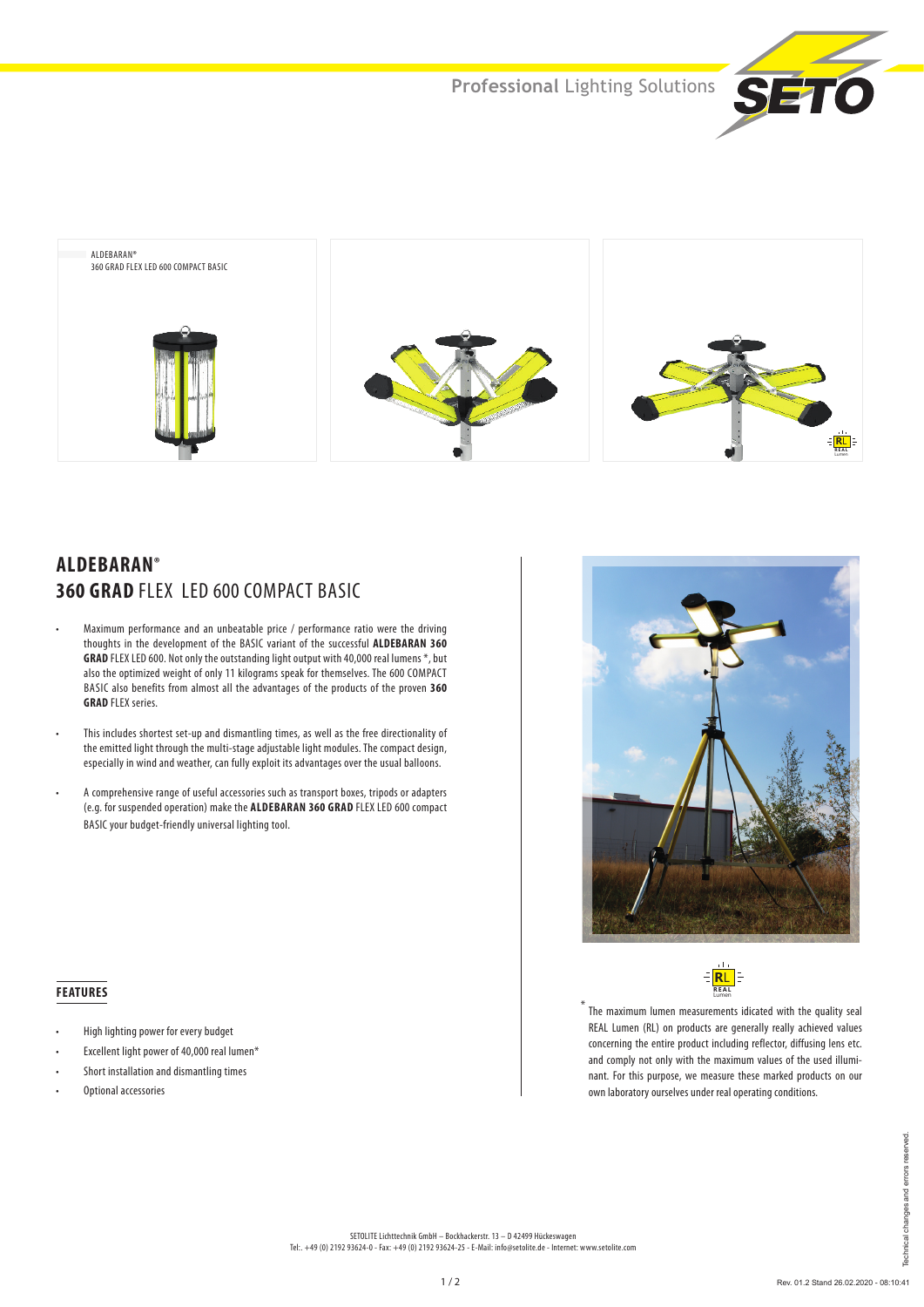



# **ALDEBARAN® 360 GRAD FLEX LED 600 COMPACT BASIC**

- Maximum performance and an unbeatable price / performance ratio were the driving thoughts in the development of the BASIC variant of the successful **ALDEBARAN 360 GRAD** FLEX LED 600. Not only the outstanding light output with 40,000 real lumens \*, but also the optimized weight of only 11 kilograms speak for themselves. The 600 COMPACT BASIC also benefits from almost all the advantages of the products of the proven **360 GRAD** FLEX series.
- This includes shortest set-up and dismantling times, as well as the free directionality of the emitted light through the multi-stage adjustable light modules. The compact design, especially in wind and weather, can fully exploit its advantages over the usual balloons.
- A comprehensive range of useful accessories such as transport boxes, tripods or adapters (e.g. for suspended operation) make the **ALDEBARAN 360 GRAD** FLEX LED 600 compact BASIC your budget-friendly universal lighting tool.

 **FEATURES**

• High lighting power for every budget • Excellent light power of 40,000 real lumen\* • Short installation and dismantling times

• Optional accessories





\* The maximum lumen measurements idicated with the quality seal REAL Lumen (RL) on products are generally really achieved values concerning the entire product including reflector, diffusing lens etc. and comply not only with the maximum values of the used illuminant. For this purpose, we measure these marked products on our own laboratory ourselves under real operating conditions.

#### SETOLITE Lichttechnik GmbH – Bockhackerstr. 13 – D 42499 Hückeswagen Tel:. +49 (0) 2192 93624-0 - Fax: +49 (0) 2192 93624-25 - E-Mail: info@setolite.de - Internet: www.setolite.com